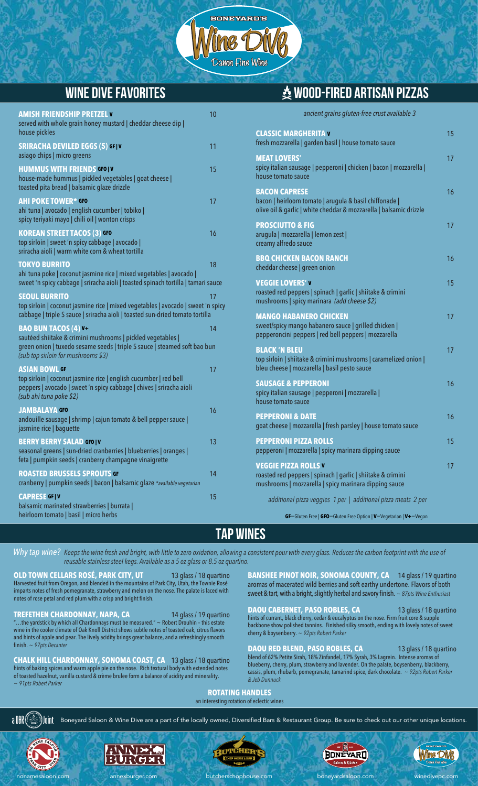

## **Wine Dive favorites wood-fired artisan pizzas**

*ancient grains gluten-free crust available 3*

| <b>AMISH FRIENDSHIP PRETZEL V</b><br>served with whole grain honey mustard   cheddar cheese dip                                                                                                                | 10 |                                   |
|----------------------------------------------------------------------------------------------------------------------------------------------------------------------------------------------------------------|----|-----------------------------------|
| house pickles<br><b>SRIRACHA DEVILED EGGS (5) GFTV</b>                                                                                                                                                         | 11 | $\overline{\mathsf{C}}$<br>$f$ re |
| asiago chips   micro greens                                                                                                                                                                                    |    | M                                 |
| <b>HUMMUS WITH FRIENDS GFOIV</b><br>house-made hummus   pickled vegetables   goat cheese  <br>toasted pita bread   balsamic glaze drizzle                                                                      | 15 | sp<br>ho<br>B/                    |
| <b>AHI POKE TOWER* GFO</b><br>ahi tuna   avocado   english cucumber   tobiko  <br>spicy teriyaki mayo   chili oil   wonton crisps                                                                              | 17 | ba<br>oli<br>PI                   |
| <b>KOREAN STREET TACOS (3) GFO</b><br>top sirloin   sweet 'n spicy cabbage   avocado  <br>sriracha aioli   warm white corn & wheat tortilla                                                                    | 16 | arı<br>cr <sub>6</sub><br>BI      |
| <b>TOKYO BURRITO</b><br>ahi tuna poke   coconut jasmine rice   mixed vegetables   avocado  <br>sweet 'n spicy cabbage   sriracha aioli   toasted spinach tortilla   tamari sauce                               | 18 | ch<br>$\overline{\mathsf{v}}$     |
| <b>SEOUL BURRITO</b><br>top sirloin   coconut jasmine rice   mixed vegetables   avocado   sweet 'n spicy<br>cabbage   triple S sauce   sriracha aioli   toasted sun-dried tomato tortilla                      | 17 | ro<br>m<br>M                      |
| <b>BAO BUN TACOS (4) v-</b><br>sautéed shiitake & crimini mushrooms   pickled vegetables  <br>green onion   tuxedo sesame seeds   triple S sauce   steamed soft bao bun<br>(sub top sirloin for mushrooms \$3) | 14 | SW<br>pe<br>BI<br>to              |
| <b>ASIAN BOWL GF</b><br>top sirloin   coconut jasmine rice   english cucumber   red bell<br>peppers   avocado   sweet 'n spicy cabbage   chives   sriracha aioli<br>(sub ahi tuna poke \$2)                    | 17 | bl<br>S <sub>l</sub><br>sp<br>ho  |
| <b>JAMBALAYA GFO</b><br>andouille sausage   shrimp   cajun tomato & bell pepper sauce  <br>jasmine rice   baguette                                                                                             | 16 | PI<br>go                          |
| <b>BERRY BERRY SALAD GFO   V</b><br>seasonal greens   sun-dried cranberries   blueberries   oranges  <br>feta   pumpkin seeds   cranberry champagne vinaigrette                                                | 13 | PI<br>pe<br>$\mathbf v$           |
| <b>ROASTED BRUSSELS SPROUTS GF</b><br>cranberry   pumpkin seeds   bacon   balsamic glaze *available vegetarian                                                                                                 | 14 | ro<br>m                           |
| <b>CAPRESE GFIV</b><br>balsamic marinated strawberries   burrata  <br>heirloom tomato   basil   micro herbs                                                                                                    | 15 |                                   |

#### **ASSIC MARGHERITA V** 15 sh mozzarella | garden basil | house tomato sauce **MEAT LOVERS'** 17 icy italian sausage | pepperoni | chicken | bacon | mozzarella | use tomato sauce **CON CAPRESE BACK CONDUCTS 16** con | heirloom tomato | arugula & basil chiffonade | ve oil & garlic | white cheddar & mozzarella | balsamic drizzle **PROSCIUTTO & FIG** 17 **PROSCIUTTO & FIG** arugula | mozzarella | lemon zest | amy alfredo sauce **BUCHICKEN BACON RANCH 16** eddar cheese | green onion **GGIE LOVERS' V** 15 AND 15 AND 15 AND 15 AND 15 sted red peppers | spinach | garlic | shiitake & crimini mushrooms | spicy marinara *(add cheese \$2)* **MANGO HABANERO CHICKEN** 17 eet/spicy mango habanero sauce | grilled chicken | pepperoncini peppers | red bell peppers | mozzarella **BLACK 'N BLEU** 17 o sirloin | shiitake & crimini mushrooms | caramelized onion | eu cheese | mozzarella | basil pesto sauce **USAGE & PEPPERONI** icy italian sausage | pepperoni | mozzarella | use tomato sauce **PEPPERONI & DATE** 16 at cheese | mozzarella | fresh parsley | house tomato sauce **PPERONI PIZZA ROLLS** 15 pperoni | mozzarella | spicy marinara dipping sauce **GGIE PIZZA ROLLS V** 17 isted red peppers | spinach | garlic | shiitake & crimini ushrooms | mozzarella | spicy marinara dipping sauce *additional pizza veggies 1 per | additional pizza meats 2 per*

**GF**=Gluten Free | **GFO**=Gluten Free Option | **V**=Vegetarian | **V+**=Vegan

### **Tap Wines**

*Why tap wine? Keeps the wine fresh and bright, with little to zero oxidation, allowing a consistent pour with every glass. Reduces the carbon footprint with the use of reusable stainless steel kegs. Available as a 5 oz glass or 8.5 oz quartino.*

**OLD TOWN CELLARS ROSÉ, PARK CITY, UT** 13 glass / 18 quartino Harvested fruit from Oregon, and blended in the mountains of Park City, Utah, the Townie Rosé imparts notes of fresh pomegranate, strawberry and melon on the nose. The palate is laced with notes of rose petal and red plum with a crisp and bright finish.

**TREFETHEN CHARDONNAY, NAPA, CA** 14 glass / 19 quartino "…the yardstick by which all Chardonnays must be measured." ~ Robert Drouhin – this estate wine in the cooler climate of Oak Knoll District shows subtle notes of toasted oak, citrus flavors and hints of apple and pear. The lively acidity brings great balance, and a refreshingly smooth finish. *~ 97pts Decanter*

**CHALK HILL CHARDONNAY, SONOMA COAST, CA** 13 glass / 18 quartino hints of baking spices and warm apple pie on the nose. Rich textural body with extended notes of toasted hazelnut, vanilla custard & crème brulee form a balance of acidity and minerality. *~ 91pts Robert Parker*

**BANSHEE PINOT NOIR, SONOMA COUNTY, CA** 14 glass / 19 quartino aromas of macerated wild berries and soft earthy undertone. Flavors of both sweet & tart, with a bright, slightly herbal and savory finish. *~ 87pts Wine Enthusiast*

**DAOU CABERNET, PASO ROBLES, CA** 13 glass / 18 quartino hints of currant, black cherry, cedar & eucalyptus on the nose. Firm fruit core & supp backbone show polished tannins. Finished silky smooth, ending with lovely notes of sweet cherry & boysenberry. *~ 92pts Robert Parker*

**DAOU RED BLEND, PASO ROBLES, CA** 13 glass / 18 quartino blend of 62% Petite Sirah, 18% Zinfandel, 17% Syrah, 3% Lagrein. Intense aromas blueberry, cherry, plum, strawberry and lavender. On the palate, boysenberry, blackberry, cassis, plum, rhubarb, pomegranate, tamarind spice, dark chocolate. *~ 92pts Robert Parker & Jeb Dunnuck*

#### **ROTATING HANDLES** an interesting rotation of eclectic wines

a DBR Boneyard Saloon & Wine Dive are a part of the locally owned, Diversified Bars & Restaurant Group. Be sure to check out our other unique locations.